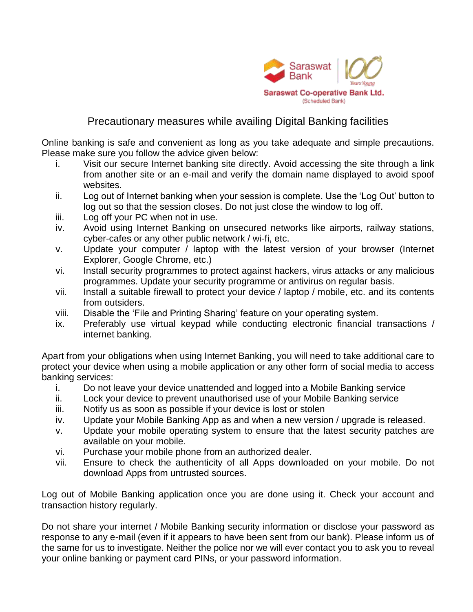

## Precautionary measures while availing Digital Banking facilities

Online banking is safe and convenient as long as you take adequate and simple precautions. Please make sure you follow the advice given below:

- i. Visit our secure Internet banking site directly. Avoid accessing the site through a link from another site or an e-mail and verify the domain name displayed to avoid spoof websites.
- ii. Log out of Internet banking when your session is complete. Use the 'Log Out' button to log out so that the session closes. Do not just close the window to log off.
- iii. Log off your PC when not in use.
- iv. Avoid using Internet Banking on unsecured networks like airports, railway stations, cyber-cafes or any other public network / wi-fi, etc.
- v. Update your computer / laptop with the latest version of your browser (Internet Explorer, Google Chrome, etc.)
- vi. Install security programmes to protect against hackers, virus attacks or any malicious programmes. Update your security programme or antivirus on regular basis.
- vii. Install a suitable firewall to protect your device / laptop / mobile, etc. and its contents from outsiders.
- viii. Disable the 'File and Printing Sharing' feature on your operating system.
- ix. Preferably use virtual keypad while conducting electronic financial transactions / internet banking.

Apart from your obligations when using Internet Banking, you will need to take additional care to protect your device when using a mobile application or any other form of social media to access banking services:

- i. Do not leave your device unattended and logged into a Mobile Banking service
- ii. Lock your device to prevent unauthorised use of your Mobile Banking service
- iii. Notify us as soon as possible if your device is lost or stolen
- iv. Update your Mobile Banking App as and when a new version / upgrade is released.
- v. Update your mobile operating system to ensure that the latest security patches are available on your mobile.
- vi. Purchase your mobile phone from an authorized dealer.
- vii. Ensure to check the authenticity of all Apps downloaded on your mobile. Do not download Apps from untrusted sources.

Log out of Mobile Banking application once you are done using it. Check your account and transaction history regularly.

Do not share your internet / Mobile Banking security information or disclose your password as response to any e-mail (even if it appears to have been sent from our bank). Please inform us of the same for us to investigate. Neither the police nor we will ever contact you to ask you to reveal your online banking or payment card PINs, or your password information.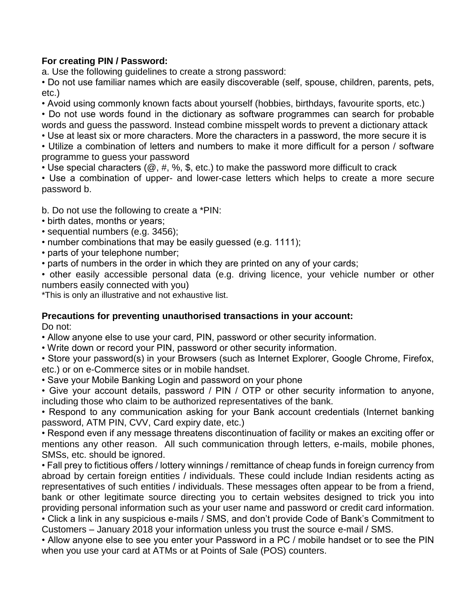## **For creating PIN / Password:**

a. Use the following guidelines to create a strong password:

• Do not use familiar names which are easily discoverable (self, spouse, children, parents, pets, etc.)

• Avoid using commonly known facts about yourself (hobbies, birthdays, favourite sports, etc.) • Do not use words found in the dictionary as software programmes can search for probable words and guess the password. Instead combine misspelt words to prevent a dictionary attack

• Use at least six or more characters. More the characters in a password, the more secure it is

• Utilize a combination of letters and numbers to make it more difficult for a person / software programme to guess your password

• Use special characters ( $\omega$ ,  $\#$ ,  $\%$ ,  $\#$ , etc.) to make the password more difficult to crack

• Use a combination of upper- and lower-case letters which helps to create a more secure password b.

b. Do not use the following to create a \*PIN:

- birth dates, months or years;
- sequential numbers (e.g. 3456);
- number combinations that may be easily guessed (e.g. 1111);
- parts of your telephone number;

• parts of numbers in the order in which they are printed on any of your cards;

• other easily accessible personal data (e.g. driving licence, your vehicle number or other numbers easily connected with you)

\*This is only an illustrative and not exhaustive list.

## **Precautions for preventing unauthorised transactions in your account:** Do not:

• Allow anyone else to use your card, PIN, password or other security information.

• Write down or record your PIN, password or other security information.

• Store your password(s) in your Browsers (such as Internet Explorer, Google Chrome, Firefox, etc.) or on e-Commerce sites or in mobile handset.

• Save your Mobile Banking Login and password on your phone

• Give your account details, password / PIN / OTP or other security information to anyone, including those who claim to be authorized representatives of the bank.

• Respond to any communication asking for your Bank account credentials (Internet banking password, ATM PIN, CVV, Card expiry date, etc.)

• Respond even if any message threatens discontinuation of facility or makes an exciting offer or mentions any other reason. All such communication through letters, e-mails, mobile phones, SMSs, etc. should be ignored.

• Fall prey to fictitious offers / lottery winnings / remittance of cheap funds in foreign currency from abroad by certain foreign entities / individuals. These could include Indian residents acting as representatives of such entities / individuals. These messages often appear to be from a friend, bank or other legitimate source directing you to certain websites designed to trick you into providing personal information such as your user name and password or credit card information. • Click a link in any suspicious e-mails / SMS, and don't provide Code of Bank's Commitment to

Customers – January 2018 your information unless you trust the source e-mail / SMS.

• Allow anyone else to see you enter your Password in a PC / mobile handset or to see the PIN when you use your card at ATMs or at Points of Sale (POS) counters.